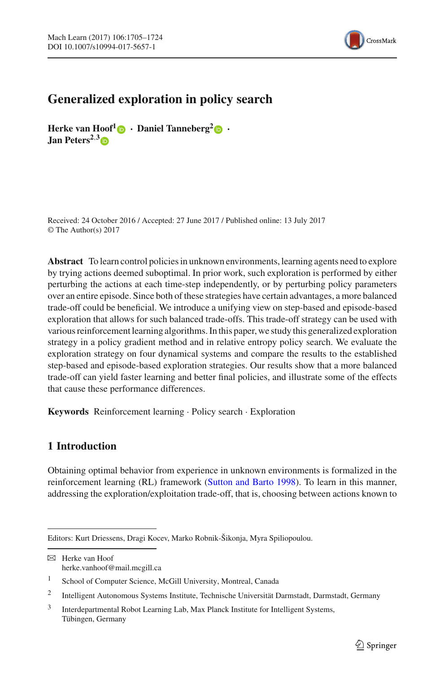

# **Generalized exploration in policy search**

**Herke van Hoof**<sup>[1](http://orcid.org/0000-0002-1583-3692)</sup> **·Daniel Tanneberg**<sup>[2](http://orcid.org/0000-0002-1363-7970)</sup> **·· Jan Peters2**,**[3](http://orcid.org/0000-0002-5266-8091)**

Received: 24 October 2016 / Accepted: 27 June 2017 / Published online: 13 July 2017 © The Author(s) 2017

**Abstract** To learn control policies in unknown environments, learning agents need to explore by trying actions deemed suboptimal. In prior work, such exploration is performed by either perturbing the actions at each time-step independently, or by perturbing policy parameters over an entire episode. Since both of these strategies have certain advantages, a more balanced trade-off could be beneficial. We introduce a unifying view on step-based and episode-based exploration that allows for such balanced trade-offs. This trade-off strategy can be used with various reinforcement learning algorithms. In this paper, we study this generalized exploration strategy in a policy gradient method and in relative entropy policy search. We evaluate the exploration strategy on four dynamical systems and compare the results to the established step-based and episode-based exploration strategies. Our results show that a more balanced trade-off can yield faster learning and better final policies, and illustrate some of the effects that cause these performance differences.

**Keywords** Reinforcement learning · Policy search · Exploration

# <span id="page-0-0"></span>**1 Introduction**

Obtaining optimal behavior from experience in unknown environments is formalized in the reinforcement learning (RL) framework [\(Sutton and Barto 1998\)](#page-19-0). To learn in this manner, addressing the exploration/exploitation trade-off, that is, choosing between actions known to

Editors: Kurt Driessens, Dragi Kocev, Marko Robnik-Šikonja, Myra Spiliopoulou.

 $\boxtimes$  Herke van Hoof herke.vanhoof@mail.mcgill.ca

<sup>1</sup> School of Computer Science, McGill University, Montreal, Canada

<sup>2</sup> Intelligent Autonomous Systems Institute, Technische Universität Darmstadt, Darmstadt, Germany

<sup>3</sup> Interdepartmental Robot Learning Lab, Max Planck Institute for Intelligent Systems, Tübingen, Germany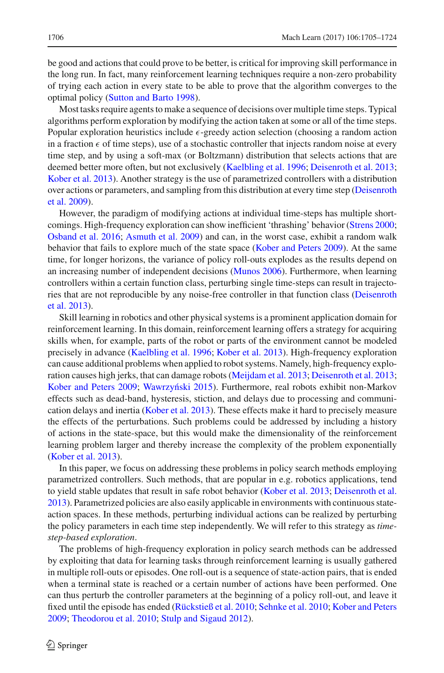be good and actions that could prove to be better, is critical for improving skill performance in the long run. In fact, many reinforcement learning techniques require a non-zero probability of trying each action in every state to be able to prove that the algorithm converges to the optimal policy [\(Sutton and Barto 1998\)](#page-19-0).

Most tasks require agents to make a sequence of decisions over multiple time steps. Typical algorithms perform exploration by modifying the action taken at some or all of the time steps. Popular exploration heuristics include  $\epsilon$ -greedy action selection (choosing a random action in a fraction  $\epsilon$  of time steps), use of a stochastic controller that injects random noise at every time step, and by using a soft-max (or Boltzmann) distribution that selects actions that are deemed better more often, but not exclusively [\(Kaelbling et al. 1996;](#page-18-0) [Deisenroth et al. 2013](#page-18-1); [Kober et al. 2013\)](#page-18-2). Another strategy is the use of parametrized controllers with a distribution over [actions](#page-18-3) [or](#page-18-3) [parameters,](#page-18-3) [and](#page-18-3) [sampling](#page-18-3) [from](#page-18-3) [this](#page-18-3) [distribution](#page-18-3) [at](#page-18-3) [every](#page-18-3) [time](#page-18-3) [step](#page-18-3) [\(](#page-18-3)Deisenroth et al. [2009\)](#page-18-3).

However, the paradigm of modifying actions at individual time-steps has multiple shortcomings. High-frequency exploration can show inefficient 'thrashing' behavior [\(Strens 2000](#page-19-1); [Osband et al. 2016](#page-19-2); [Asmuth et al. 2009\)](#page-18-4) and can, in the worst case, exhibit a random walk behavior that fails to explore much of the state space [\(Kober and Peters 2009\)](#page-18-5). At the same time, for longer horizons, the variance of policy roll-outs explodes as the results depend on an increasing number of independent decisions [\(Munos 2006\)](#page-18-6). Furthermore, when learning controllers within a certain function class, perturbing single time-steps can result in trajectories [that](#page-18-1) [are](#page-18-1) [not](#page-18-1) [reproducible](#page-18-1) [by](#page-18-1) [any](#page-18-1) [noise-free](#page-18-1) [controller](#page-18-1) [in](#page-18-1) [that](#page-18-1) [function](#page-18-1) [class](#page-18-1) [\(](#page-18-1)Deisenroth et al. [2013\)](#page-18-1).

Skill learning in robotics and other physical systems is a prominent application domain for reinforcement learning. In this domain, reinforcement learning offers a strategy for acquiring skills when, for example, parts of the robot or parts of the environment cannot be modeled precisely in advance [\(Kaelbling et al. 1996](#page-18-0); [Kober et al. 2013\)](#page-18-2). High-frequency exploration can cause additional problems when applied to robot systems. Namely, high-frequency exploration causes high jerks, that can damage robots [\(Meijdam et al. 2013](#page-18-7); [Deisenroth et al. 2013](#page-18-1); [Kober and Peters 2009;](#page-18-5) Wawrzyński 2015). Furthermore, real robots exhibit non-Markov effects such as dead-band, hysteresis, stiction, and delays due to processing and communication delays and inertia [\(Kober et al. 2013](#page-18-2)). These effects make it hard to precisely measure the effects of the perturbations. Such problems could be addressed by including a history of actions in the state-space, but this would make the dimensionality of the reinforcement learning problem larger and thereby increase the complexity of the problem exponentially [\(Kober et al. 2013\)](#page-18-2).

In this paper, we focus on addressing these problems in policy search methods employing parametrized controllers. Such methods, that are popular in e.g. robotics applications, tend to yield stable updates that result in safe robot behavior [\(Kober et al. 2013](#page-18-2); [Deisenroth et al.](#page-18-1) [2013](#page-18-1)). Parametrized policies are also easily applicable in environments with continuous stateaction spaces. In these methods, perturbing individual actions can be realized by perturbing the policy parameters in each time step independently. We will refer to this strategy as *timestep-based exploration*.

The problems of high-frequency exploration in policy search methods can be addressed by exploiting that data for learning tasks through reinforcement learning is usually gathered in multiple roll-outs or episodes. One roll-out is a sequence of state-action pairs, that is ended when a terminal state is reached or a certain number of actions have been performed. One can thus perturb the controller parameters at the beginning of a policy roll-out, and leave it fixed until the episode has ended [\(Rückstieß et al. 2010;](#page-19-4) [Sehnke et al. 2010;](#page-19-5) [Kober and Peters](#page-18-5) [2009](#page-18-5); [Theodorou et al. 2010;](#page-19-6) [Stulp and Sigaud 2012\)](#page-19-7).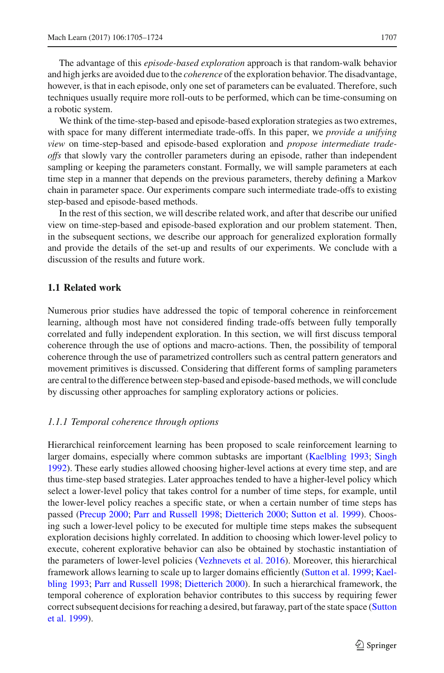The advantage of this *episode-based exploration* approach is that random-walk behavior and high jerks are avoided due to the *coherence* of the exploration behavior. The disadvantage, however, is that in each episode, only one set of parameters can be evaluated. Therefore, such techniques usually require more roll-outs to be performed, which can be time-consuming on a robotic system.

We think of the time-step-based and episode-based exploration strategies as two extremes, with space for many different intermediate trade-offs. In this paper, we *provide a unifying view* on time-step-based and episode-based exploration and *propose intermediate tradeoffs* that slowly vary the controller parameters during an episode, rather than independent sampling or keeping the parameters constant. Formally, we will sample parameters at each time step in a manner that depends on the previous parameters, thereby defining a Markov chain in parameter space. Our experiments compare such intermediate trade-offs to existing step-based and episode-based methods.

In the rest of this section, we will describe related work, and after that describe our unified view on time-step-based and episode-based exploration and our problem statement. Then, in the subsequent sections, we describe our approach for generalized exploration formally and provide the details of the set-up and results of our experiments. We conclude with a discussion of the results and future work.

## **1.1 Related work**

Numerous prior studies have addressed the topic of temporal coherence in reinforcement learning, although most have not considered finding trade-offs between fully temporally correlated and fully independent exploration. In this section, we will first discuss temporal coherence through the use of options and macro-actions. Then, the possibility of temporal coherence through the use of parametrized controllers such as central pattern generators and movement primitives is discussed. Considering that different forms of sampling parameters are central to the difference between step-based and episode-based methods, we will conclude by discussing other approaches for sampling exploratory actions or policies.

# *1.1.1 Temporal coherence through options*

Hierarchical reinforcement learning has been proposed to scale reinforcement learning to larger domains, especially where common subtasks are important [\(Kaelbling 1993](#page-18-8); [Singh](#page-19-8) [1992](#page-19-8)). These early studies allowed choosing higher-level actions at every time step, and are thus time-step based strategies. Later approaches tended to have a higher-level policy which select a lower-level policy that takes control for a number of time steps, for example, until the lower-level policy reaches a specific state, or when a certain number of time steps has passed [\(Precup 2000;](#page-19-9) [Parr and Russell 1998](#page-19-10); [Dietterich 2000;](#page-18-9) [Sutton et al. 1999](#page-19-11)). Choosing such a lower-level policy to be executed for multiple time steps makes the subsequent exploration decisions highly correlated. In addition to choosing which lower-level policy to execute, coherent explorative behavior can also be obtained by stochastic instantiation of the parameters of lower-level policies [\(Vezhnevets et al. 2016](#page-19-12)). Moreover, this hierarchical fram[ework](#page-18-8) [allows](#page-18-8) [learning](#page-18-8) [to](#page-18-8) [scale](#page-18-8) [up](#page-18-8) [to](#page-18-8) [larger](#page-18-8) [domains](#page-18-8) [efficiently](#page-18-8) [\(Sutton et al. 1999](#page-19-11)[;](#page-18-8) Kaelbling [1993](#page-18-8); [Parr and Russell 1998;](#page-19-10) [Dietterich 2000](#page-18-9)). In such a hierarchical framework, the temporal coherence of exploration behavior contributes to this success by requiring fewer corr[ect](#page-19-11) [subsequent](#page-19-11) [decisions](#page-19-11) [for](#page-19-11) [reaching](#page-19-11) [a](#page-19-11) [desired,](#page-19-11) [but](#page-19-11) [faraway,](#page-19-11) [part](#page-19-11) [of](#page-19-11) [the](#page-19-11) [state](#page-19-11) [space](#page-19-11) [\(](#page-19-11)Sutton et al. [1999\)](#page-19-11).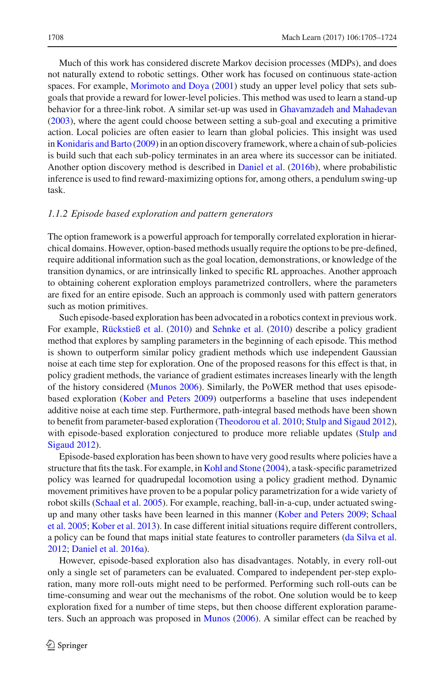Much of this work has considered discrete Markov decision processes (MDPs), and does not naturally extend to robotic settings. Other work has focused on continuous state-action spaces. For example, [Morimoto and Doya](#page-18-10) [\(2001\)](#page-18-10) study an upper level policy that sets subgoals that provide a reward for lower-level policies. This method was used to learn a stand-up behavior for a three-link robot. A similar set-up was used in [Ghavamzadeh and Mahadevan](#page-18-11) [\(2003](#page-18-11)), where the agent could choose between setting a sub-goal and executing a primitive action. Local policies are often easier to learn than global policies. This insight was used in [Konidaris and Barto](#page-18-12) [\(2009\)](#page-18-12) in an option discovery framework, where a chain of sub-policies is build such that each sub-policy terminates in an area where its successor can be initiated. Another option discovery method is described in [Daniel et al.](#page-18-13) [\(2016b\)](#page-18-13), where probabilistic inference is used to find reward-maximizing options for, among others, a pendulum swing-up task.

#### *1.1.2 Episode based exploration and pattern generators*

The option framework is a powerful approach for temporally correlated exploration in hierarchical domains. However, option-based methods usually require the options to be pre-defined, require additional information such as the goal location, demonstrations, or knowledge of the transition dynamics, or are intrinsically linked to specific RL approaches. Another approach to obtaining coherent exploration employs parametrized controllers, where the parameters are fixed for an entire episode. Such an approach is commonly used with pattern generators such as motion primitives.

Such episode-based exploration has been advocated in a robotics context in previous work. For example, [Rückstieß et al.](#page-19-4) [\(2010](#page-19-4)) and [Sehnke et al.](#page-19-5) [\(2010](#page-19-5)) describe a policy gradient method that explores by sampling parameters in the beginning of each episode. This method is shown to outperform similar policy gradient methods which use independent Gaussian noise at each time step for exploration. One of the proposed reasons for this effect is that, in policy gradient methods, the variance of gradient estimates increases linearly with the length of the history considered [\(Munos 2006\)](#page-18-6). Similarly, the PoWER method that uses episodebased exploration [\(Kober and Peters 2009](#page-18-5)) outperforms a baseline that uses independent additive noise at each time step. Furthermore, path-integral based methods have been shown to benefit from parameter-based exploration [\(Theodorou et al. 2010;](#page-19-6) [Stulp and Sigaud 2012\)](#page-19-7), with e[pisode-based](#page-19-7) [exploration](#page-19-7) [conjectured](#page-19-7) [to](#page-19-7) [produce](#page-19-7) [more](#page-19-7) [reliable](#page-19-7) [updates](#page-19-7) [\(](#page-19-7)Stulp and Sigaud [2012\)](#page-19-7).

Episode-based exploration has been shown to have very good results where policies have a structure that fits the task. For example, in [Kohl and Stone](#page-18-14) [\(2004](#page-18-14)), a task-specific parametrized policy was learned for quadrupedal locomotion using a policy gradient method. Dynamic movement primitives have proven to be a popular policy parametrization for a wide variety of robot skills [\(Schaal et al. 2005\)](#page-19-13). For example, reaching, ball-in-a-cup, under actuated swingup a[nd](#page-19-13) [many](#page-19-13) [other](#page-19-13) [tasks](#page-19-13) [have](#page-19-13) [been](#page-19-13) [learned](#page-19-13) [in](#page-19-13) [this](#page-19-13) [manner](#page-19-13) [\(Kober and Peters 2009](#page-18-5)[;](#page-19-13) Schaal et al. [2005](#page-19-13); [Kober et al. 2013\)](#page-18-2). In case different initial situations require different controllers, a policy can be found that maps initial state features to controller parameters [\(da Silva et al.](#page-18-15) [2012](#page-18-15); [Daniel et al. 2016a\)](#page-18-16).

However, episode-based exploration also has disadvantages. Notably, in every roll-out only a single set of parameters can be evaluated. Compared to independent per-step exploration, many more roll-outs might need to be performed. Performing such roll-outs can be time-consuming and wear out the mechanisms of the robot. One solution would be to keep exploration fixed for a number of time steps, but then choose different exploration parameters. Such an approach was proposed in [Munos](#page-18-6) [\(2006\)](#page-18-6). A similar effect can be reached by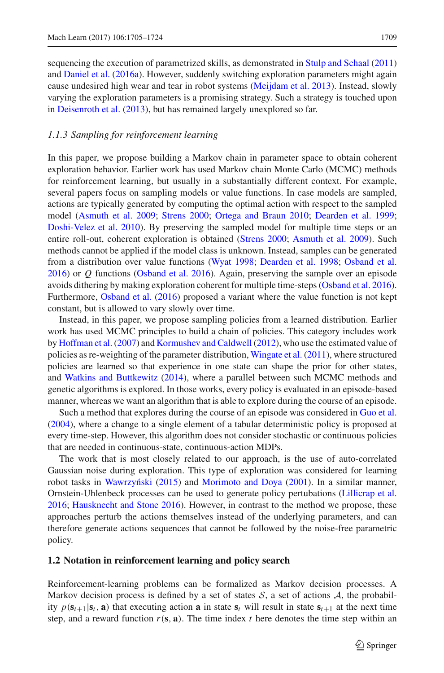sequencing the execution of parametrized skills, as demonstrated in [Stulp and Schaal](#page-19-14) [\(2011\)](#page-19-14) and [Daniel et al.](#page-18-16) [\(2016a\)](#page-18-16). However, suddenly switching exploration parameters might again cause undesired high wear and tear in robot systems [\(Meijdam et al. 2013\)](#page-18-7). Instead, slowly varying the exploration parameters is a promising strategy. Such a strategy is touched upon in [Deisenroth et al.](#page-18-1) [\(2013\)](#page-18-1), but has remained largely unexplored so far.

#### *1.1.3 Sampling for reinforcement learning*

In this paper, we propose building a Markov chain in parameter space to obtain coherent exploration behavior. Earlier work has used Markov chain Monte Carlo (MCMC) methods for reinforcement learning, but usually in a substantially different context. For example, several papers focus on sampling models or value functions. In case models are sampled, actions are typically generated by computing the optimal action with respect to the sampled model [\(Asmuth et al. 2009;](#page-18-4) [Strens 2000;](#page-19-1) [Ortega and Braun 2010;](#page-18-17) [Dearden et al. 1999](#page-18-18); [Doshi-Velez et al. 2010\)](#page-18-19). By preserving the sampled model for multiple time steps or an entire roll-out, coherent exploration is obtained [\(Strens 2000;](#page-19-1) [Asmuth et al. 2009](#page-18-4)). Such methods cannot be applied if the model class is unknown. Instead, samples can be generated from a distribution over value functions [\(Wyat 1998](#page-19-15); [Dearden et al. 1998](#page-18-20); [Osband et al.](#page-19-2) [2016](#page-19-2)) or *Q* functions [\(Osband et al. 2016](#page-19-16)). Again, preserving the sample over an episode avoids dithering by making exploration coherent for multiple time-steps [\(Osband et al. 2016\)](#page-19-2). Furthermore, [Osband et al.](#page-19-2) [\(2016](#page-19-2)) proposed a variant where the value function is not kept constant, but is allowed to vary slowly over time.

Instead, in this paper, we propose sampling policies from a learned distribution. Earlier work has used MCMC principles to build a chain of policies. This category includes work by Hoffman et al. (2007) and Kormushev and Caldwell (2012), who use the estimated value of policies as re-weighting of the parameter distribution, [Wingate et al.](#page-19-17) [\(2011](#page-19-17)), where structured policies are learned so that experience in one state can shape the prior for other states, and [Watkins and Buttkewitz](#page-19-18) [\(2014\)](#page-19-18), where a parallel between such MCMC methods and genetic algorithms is explored. In those works, every policy is evaluated in an episode-based manner, whereas we want an algorithm that is able to explore during the course of an episode.

Such a method that explores during the course of an episode was considered in [Guo et al.](#page-18-23) [\(2004](#page-18-23)), where a change to a single element of a tabular deterministic policy is proposed at every time-step. However, this algorithm does not consider stochastic or continuous policies that are needed in continuous-state, continuous-action MDPs.

The work that is most closely related to our approach, is the use of auto-correlated Gaussian noise during exploration. This type of exploration was considered for learning robot tasks in Wawrzyński [\(2015](#page-19-3)) and [Morimoto and Doya](#page-18-10) [\(2001\)](#page-18-10). In a similar manner, Ornstein-Uhlenbeck processes can be used to generate policy pertubations [\(Lillicrap et al.](#page-18-24) [2016](#page-18-24); [Hausknecht and Stone 2016\)](#page-18-25). However, in contrast to the method we propose, these approaches perturb the actions themselves instead of the underlying parameters, and can therefore generate actions sequences that cannot be followed by the noise-free parametric policy.

#### **1.2 Notation in reinforcement learning and policy search**

Reinforcement-learning problems can be formalized as Markov decision processes. A Markov decision process is defined by a set of states  $S$ , a set of actions  $A$ , the probability  $p(\mathbf{s}_{t+1}|\mathbf{s}_t, \mathbf{a})$  that executing action **a** in state  $\mathbf{s}_t$  will result in state  $\mathbf{s}_{t+1}$  at the next time step, and a reward function  $r(s, a)$ . The time index  $t$  here denotes the time step within an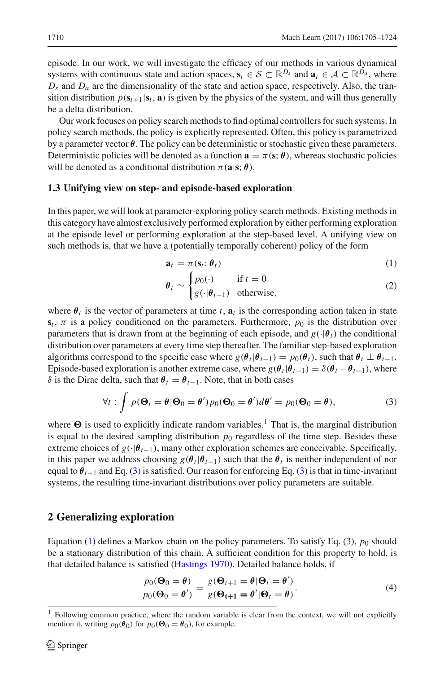episode. In our work, we will investigate the efficacy of our methods in various dynamical systems with continuous state and action spaces,  $\mathbf{s}_t \in \mathcal{S} \subset \mathbb{R}^{D_s}$  and  $\mathbf{a}_t \in \mathcal{A} \subset \mathbb{R}^{D_a}$ , where  $D_s$  and  $D_a$  are the dimensionality of the state and action space, respectively. Also, the transition distribution  $p(\mathbf{s}_{t+1}|\mathbf{s}_t, \mathbf{a})$  is given by the physics of the system, and will thus generally be a delta distribution.

Our work focuses on policy search methods to find optimal controllers for such systems. In policy search methods, the policy is explicitly represented. Often, this policy is parametrized by a parameter vector  $\theta$ . The policy can be deterministic or stochastic given these parameters. Deterministic policies will be denoted as a function  $\mathbf{a} = \pi(\mathbf{s}; \theta)$ , whereas stochastic policies will be denoted as a conditional distribution  $\pi(\mathbf{a}|\mathbf{s}; \theta)$ .

#### **1.3 Unifying view on step- and episode-based exploration**

In this paper, we will look at parameter-exploring policy search methods. Existing methods in this category have almost exclusively performed exploration by either performing exploration at the episode level or performing exploration at the step-based level. A unifying view on such methods is, that we have a (potentially temporally coherent) policy of the form

<span id="page-5-2"></span>
$$
\mathbf{a}_t = \pi(\mathbf{s}_t; \boldsymbol{\theta}_t) \tag{1}
$$

$$
\theta_t \sim \begin{cases} p_0(\cdot) & \text{if } t = 0\\ g(\cdot | \theta_{t-1}) & \text{otherwise,} \end{cases} \tag{2}
$$

where  $\theta_t$  is the vector of parameters at time *t*,  $\mathbf{a}_t$  is the corresponding action taken in state  $s_t$ ,  $\pi$  is a policy conditioned on the parameters. Furthermore,  $p_0$  is the distribution over parameters that is drawn from at the beginning of each episode, and  $g(\cdot|\theta_t)$  the conditional distribution over parameters at every time step thereafter. The familiar step-based exploration algorithms correspond to the specific case where  $g(\theta_t|\theta_{t-1}) = p_0(\theta_t)$ , such that  $\theta_t \perp \theta_{t-1}$ . Episode-based exploration is another extreme case, where  $g(\theta_t|\theta_{t-1}) = \delta(\theta_t - \theta_{t-1})$ , where δ is the Dirac delta, such that  $θ_t = θ_{t-1}$ . Note, that in both cases

<span id="page-5-1"></span>
$$
\forall t : \int p(\Theta_t = \theta | \Theta_0 = \theta') p_0(\Theta_0 = \theta') d\theta' = p_0(\Theta_0 = \theta), \tag{3}
$$

where  $\Theta$  is used to explicitly indicate random variables.<sup>[1](#page-5-0)</sup> That is, the marginal distribution is equal to the desired sampling distribution  $p_0$  regardless of the time step. Besides these extreme choices of  $g(\cdot|\theta_{t-1})$ , many other exploration schemes are conceivable. Specifically, in this paper we address choosing  $g(\theta_t|\theta_{t-1})$  such that the  $\theta_t$  is neither independent of nor equal to  $\theta_{t-1}$  and Eq. [\(3\)](#page-5-1) is satisfied. Our reason for enforcing Eq. (3) is that in time-invariant systems, the resulting time-invariant distributions over policy parameters are suitable.

#### **2 Generalizing exploration**

Equation [\(1\)](#page-5-2) defines a Markov chain on the policy parameters. To satisfy Eq.  $(3)$ ,  $p_0$  should be a stationary distribution of this chain. A sufficient condition for this property to hold, is that detailed balance is satisfied [\(Hastings 1970](#page-18-26)). Detailed balance holds, if

<span id="page-5-3"></span>
$$
\frac{p_0(\Theta_0 = \theta)}{p_0(\Theta_0 = \theta')} = \frac{g(\Theta_{t+1} = \theta | \Theta_t = \theta')}{g(\Theta_{t+1} = \theta' | \Theta_t = \theta)}.
$$
\n(4)

<span id="page-5-0"></span><sup>1</sup> Following common practice, where the random variable is clear from the context, we will not explicitly mention it, writing  $p_0(\theta_0)$  for  $p_0(\Theta_0 = \theta_0)$ , for example.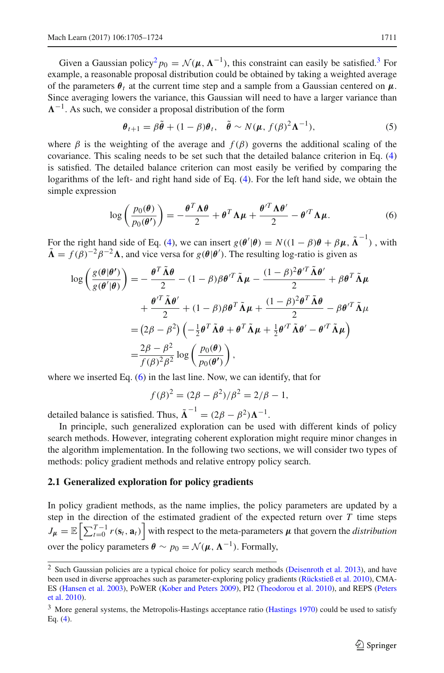Given a Gaussian policy<sup>[2](#page-6-0)</sup>  $p_0 = \mathcal{N}(\mu, \Lambda^{-1})$ , this constraint can easily be satisfied.<sup>3</sup> For example, a reasonable proposal distribution could be obtained by taking a weighted average of the parameters  $\theta_t$  at the current time step and a sample from a Gaussian centered on  $\mu$ . Since averaging lowers the variance, this Gaussian will need to have a larger variance than  $\Lambda^{-1}$ . As such, we consider a proposal distribution of the form

<span id="page-6-3"></span>
$$
\boldsymbol{\theta}_{t+1} = \beta \tilde{\boldsymbol{\theta}} + (1 - \beta) \boldsymbol{\theta}_t, \quad \tilde{\boldsymbol{\theta}} \sim N(\boldsymbol{\mu}, f(\beta)^2 \boldsymbol{\Lambda}^{-1}), \tag{5}
$$

where  $\beta$  is the weighting of the average and  $f(\beta)$  governs the additional scaling of the covariance. This scaling needs to be set such that the detailed balance criterion in Eq. [\(4\)](#page-5-3) is satisfied. The detailed balance criterion can most easily be verified by comparing the logarithms of the left- and right hand side of Eq. [\(4\)](#page-5-3). For the left hand side, we obtain the simple expression

<span id="page-6-2"></span>
$$
\log\left(\frac{p_0(\theta)}{p_0(\theta')}\right) = -\frac{\theta^T \Lambda \theta}{2} + \theta^T \Lambda \mu + \frac{\theta'^T \Lambda \theta'}{2} - \theta'^T \Lambda \mu. \tag{6}
$$

For the right hand side of Eq. [\(4\)](#page-5-3), we can insert  $g(\theta'|\theta) = N((1 - \beta)\theta + \beta\mu, \tilde{\Lambda}^{-1})$ , with  $\tilde{\Lambda} = f(\beta)^{-2} \beta^{-2} \Lambda$ , and vice versa for  $g(\theta | \theta')$ . The resulting log-ratio is given as

$$
\log\left(\frac{g(\theta|\theta')}{g(\theta'|\theta)}\right) = -\frac{\theta^T \tilde{\Lambda}\theta}{2} - (1-\beta)\beta\theta'^T \tilde{\Lambda}\mu - \frac{(1-\beta)^2 \theta'^T \tilde{\Lambda}\theta'}{2} + \beta\theta^T \tilde{\Lambda}\mu + \frac{\theta'^T \tilde{\Lambda}\theta'}{2} + (1-\beta)\beta\theta^T \tilde{\Lambda}\mu + \frac{(1-\beta)^2 \theta^T \tilde{\Lambda}\theta}{2} - \beta\theta'^T \tilde{\Lambda}\mu = (2\beta - \beta^2) \left(-\frac{1}{2}\theta^T \tilde{\Lambda}\theta + \theta^T \tilde{\Lambda}\mu + \frac{1}{2}\theta'^T \tilde{\Lambda}\theta' - \theta'^T \tilde{\Lambda}\mu\right) = \frac{2\beta - \beta^2}{f(\beta)^2 \beta^2} \log\left(\frac{p_0(\theta)}{p_0(\theta')}\right),
$$

where we inserted Eq. [\(6\)](#page-6-2) in the last line. Now, we can identify, that for

$$
f(\beta)^2 = (2\beta - \beta^2)/\beta^2 = 2/\beta - 1,
$$

detailed balance is satisfied. Thus,  $\tilde{\Lambda}^{-1} = (2\beta - \beta^2)\Lambda^{-1}$ .

In principle, such generalized exploration can be used with different kinds of policy search methods. However, integrating coherent exploration might require minor changes in the algorithm implementation. In the following two sections, we will consider two types of methods: policy gradient methods and relative entropy policy search.

#### <span id="page-6-4"></span>**2.1 Generalized exploration for policy gradients**

In policy gradient methods, as the name implies, the policy parameters are updated by a step in the direction of the estimated gradient of the expected return over *T* time steps  $J_{\mu} = \mathbb{E}\left[\sum_{t=0}^{T-1} r(\mathbf{s}_t, \mathbf{a}_t)\right]$  with respect to the meta-parameters  $\mu$  that govern the *distribution* over the policy parameters  $\theta \sim p_0 = \mathcal{N}(\mu, \Lambda^{-1})$ . Formally,

<span id="page-6-0"></span><sup>&</sup>lt;sup>2</sup> Such Gaussian policies are a typical choice for policy search methods [\(Deisenroth et al. 2013](#page-18-1)), and have been used in diverse approaches such as parameter-exploring policy gradients [\(Rückstieß et al. 2010\)](#page-19-4), CMA-ES [\(Hansen et al. 2003](#page-18-27)[\),](#page-19-19) [PoWER](#page-19-19) [\(Kober and Peters 2009](#page-18-5)[\),](#page-19-19) [PI2](#page-19-19) [\(Theodorou et al. 2010\)](#page-19-6)[,](#page-19-19) [and](#page-19-19) [REPS](#page-19-19) [\(](#page-19-19)Peters et al. [2010\)](#page-19-19).

<span id="page-6-1"></span><sup>&</sup>lt;sup>3</sup> More general systems, the Metropolis-Hastings acceptance ratio [\(Hastings 1970\)](#page-18-26) could be used to satisfy Eq. [\(4\)](#page-5-3).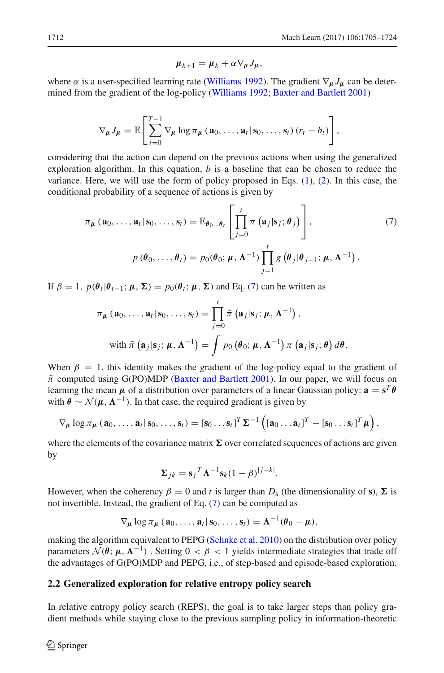<span id="page-7-0"></span>
$$
\mu_{k+1} = \mu_k + \alpha \nabla_{\mu} J_{\mu},
$$

where  $\alpha$  is a user-specified learning rate [\(Williams 1992](#page-19-20)). The gradient  $\nabla_{\mu} J_{\mu}$  can be determined from the gradient of the log-policy [\(Williams 1992](#page-19-20); [Baxter and Bartlett 2001\)](#page-18-28)

$$
\nabla_{\mu} J_{\mu} = \mathbb{E}\left[\sum_{t=0}^{T-1} \nabla_{\mu} \log \pi_{\mu} \left(\mathbf{a}_0, \ldots, \mathbf{a}_t | \mathbf{s}_0, \ldots, \mathbf{s}_t\right) (r_t - b_t)\right],
$$

considering that the action can depend on the previous actions when using the generalized exploration algorithm. In this equation, *b* is a baseline that can be chosen to reduce the variance. Here, we will use the form of policy proposed in Eqs.  $(1)$ ,  $(2)$ . In this case, the conditional probability of a sequence of actions is given by

$$
\pi_{\mu}(\mathbf{a}_{0},\ldots,\mathbf{a}_{t}|\mathbf{s}_{0},\ldots,\mathbf{s}_{t})=\mathbb{E}_{\theta_{0}\ldots\theta_{t}}\left[\prod_{j=0}^{t}\pi\left(\mathbf{a}_{j}|\mathbf{s}_{j};\theta_{j}\right)\right],\qquad(7)
$$
\n
$$
p(\theta_{0},\ldots,\theta_{t})=p_{0}(\theta_{0};\mu,\mathbf{\Lambda}^{-1})\prod_{j=1}^{t}g\left(\theta_{j}|\theta_{j-1};\mu,\mathbf{\Lambda}^{-1}\right).
$$

If  $\beta = 1$ ,  $p(\theta_t | \theta_{t-1}; \mu, \Sigma) = p_0(\theta_t; \mu, \Sigma)$  and Eq. [\(7\)](#page-7-0) can be written as

$$
\pi_{\mu}(\mathbf{a}_{0},\ldots,\mathbf{a}_{t}|\mathbf{s}_{0},\ldots,\mathbf{s}_{t})=\prod_{j=0}^{t}\tilde{\pi}(\mathbf{a}_{j}|\mathbf{s}_{j};\mu,\mathbf{\Lambda}^{-1}),
$$
  
with  $\tilde{\pi}(\mathbf{a}_{j}|\mathbf{s}_{j};\mu,\mathbf{\Lambda}^{-1})=\int p_{0}(\theta_{0};\mu,\mathbf{\Lambda}^{-1})\pi(\mathbf{a}_{j}|\mathbf{s}_{j};\theta)d\theta.$ 

When  $\beta = 1$ , this identity makes the gradient of the log-policy equal to the gradient of  $\tilde{\pi}$  computed using G(PO)MDP [\(Baxter and Bartlett 2001\)](#page-18-28). In our paper, we will focus on learning the mean  $\mu$  of a distribution over parameters of a linear Gaussian policy:  $\mathbf{a} = \mathbf{s}^T \boldsymbol{\theta}$ with  $\theta \sim \mathcal{N}(\mu, \Lambda^{-1})$ . In that case, the required gradient is given by

$$
\nabla_{\mu} \log \pi_{\mu} (\mathbf{a}_0, \ldots, \mathbf{a}_l | \mathbf{s}_0, \ldots, \mathbf{s}_l) = [\mathbf{s}_0 \ldots \mathbf{s}_l]^T \Sigma^{-1} ([\mathbf{a}_0 \ldots \mathbf{a}_l]^T - [\mathbf{s}_0 \ldots \mathbf{s}_l]^T \mu),
$$

where the elements of the covariance matrix  $\Sigma$  over correlated sequences of actions are given by

$$
\mathbf{\Sigma}_{jk} = \mathbf{s}_j^T \mathbf{\Lambda}^{-1} \mathbf{s}_k (1 - \beta)^{|j - k|}.
$$

However, when the coherency  $\beta = 0$  and t is larger than  $D_s$  (the dimensionality of s),  $\Sigma$  is not invertible. Instead, the gradient of Eq. [\(7\)](#page-7-0) can be computed as

$$
\nabla_{\mu} \log \pi_{\mu} (\mathbf{a}_0, \ldots, \mathbf{a}_t | \mathbf{s}_0, \ldots, \mathbf{s}_t) = \mathbf{\Lambda}^{-1} (\boldsymbol{\theta}_0 - \boldsymbol{\mu}),
$$

making the algorithm equivalent to PEPG [\(Sehnke et al. 2010](#page-19-5)) on the distribution over policy parameters  $\mathcal{N}(\theta; \mu, \Lambda^{-1})$ . Setting  $0 < \beta < 1$  yields intermediate strategies that trade off the advantages of G(PO)MDP and PEPG, i.e., of step-based and episode-based exploration.

#### <span id="page-7-1"></span>**2.2 Generalized exploration for relative entropy policy search**

In relative entropy policy search (REPS), the goal is to take larger steps than policy gradient methods while staying close to the previous sampling policy in information-theoretic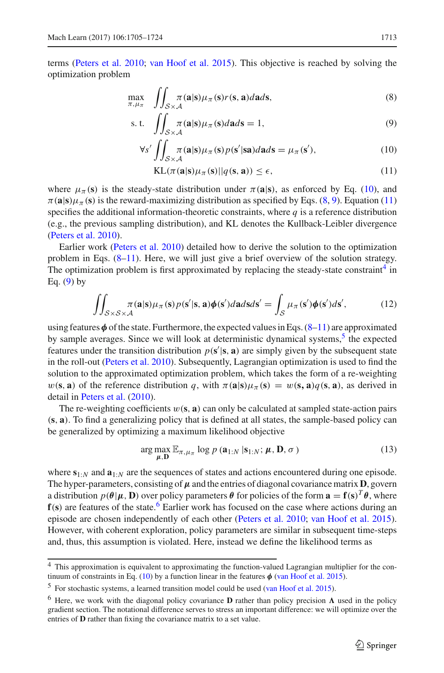terms [\(Peters et al. 2010](#page-19-19); [van Hoof et al. 2015](#page-19-21)). This objective is reached by solving the optimization problem

$$
\max_{\pi,\mu_{\pi}} \int\!\!\!\int_{\mathcal{S}\times\mathcal{A}} \pi(\mathbf{a}|\mathbf{s})\mu_{\pi}(\mathbf{s})r(\mathbf{s},\mathbf{a})d\mathbf{a}d\mathbf{s},\tag{8}
$$

$$
\text{s. t.} \quad \iint_{\mathcal{S} \times \mathcal{A}} \pi(\mathbf{a}|\mathbf{s}) \mu_{\pi}(\mathbf{s}) d\mathbf{a} d\mathbf{s} = 1,\tag{9}
$$

$$
\forall s' \iint_{\mathcal{S} \times \mathcal{A}} \pi(\mathbf{a}|\mathbf{s}) \mu_{\pi}(\mathbf{s}) p(\mathbf{s}'|\mathbf{s}\mathbf{a}) d\mathbf{a} d\mathbf{s} = \mu_{\pi}(\mathbf{s}'),\tag{10}
$$

<span id="page-8-3"></span><span id="page-8-2"></span><span id="page-8-1"></span><span id="page-8-0"></span>
$$
KL(\pi(\mathbf{a}|\mathbf{s})\mu_{\pi}(\mathbf{s})||q(\mathbf{s},\mathbf{a})) \le \epsilon,
$$
\n(11)

where  $\mu_{\pi}(\mathbf{s})$  is the steady-state distribution under  $\pi(\mathbf{a}|\mathbf{s})$ , as enforced by Eq. [\(10\)](#page-8-0), and  $\pi$ (**a**|s) $\mu_{\pi}$ (**s**) is the reward-maximizing distribution as specified by Eqs. [\(8,](#page-8-1) [9\)](#page-8-2). Equation [\(11\)](#page-8-3) specifies the additional information-theoretic constraints, where  $q$  is a reference distribution (e.g., the previous sampling distribution), and KL denotes the Kullback-Leibler divergence [\(Peters et al. 2010\)](#page-19-19).

Earlier work [\(Peters et al. 2010\)](#page-19-19) detailed how to derive the solution to the optimization problem in Eqs.  $(8-11)$  $(8-11)$ . Here, we will just give a brief overview of the solution strategy. The optimization problem is first approximated by replacing the steady-state constraint<sup>4</sup> in Eq.  $(9)$  by

<span id="page-8-8"></span>
$$
\iint_{S\times S\times A} \pi(\mathbf{a}|\mathbf{s})\mu_{\pi}(\mathbf{s})p(\mathbf{s}'|\mathbf{s},\mathbf{a})\phi(\mathbf{s}')d\mathbf{a}d\mathbf{s}d\mathbf{s}' = \int_{S} \mu_{\pi}(\mathbf{s}')\phi(\mathbf{s}')d\mathbf{s}',\tag{12}
$$

using features*φ* of the state. Furthermore, the expected values in Eqs. [\(8](#page-8-1)[–11\)](#page-8-3) are approximated by sample averages. Since we will look at deterministic dynamical systems,<sup>[5](#page-8-5)</sup> the expected features under the transition distribution  $p(s'|\mathbf{s}, \mathbf{a})$  are simply given by the subsequent state in the roll-out [\(Peters et al. 2010\)](#page-19-19). Subsequently, Lagrangian optimization is used to find the solution to the approximated optimization problem, which takes the form of a re-weighting  $w(\mathbf{s}, \mathbf{a})$  of the reference distribution *q*, with  $\pi(\mathbf{a}|\mathbf{s})\mu_{\pi}(\mathbf{s}) = w(\mathbf{s}, \mathbf{a})q(\mathbf{s}, \mathbf{a})$ , as derived in detail in [Peters et al.](#page-19-19) [\(2010\)](#page-19-19).

The re-weighting coefficients  $w(s, a)$  can only be calculated at sampled state-action pairs (**s**, **a**). To find a generalizing policy that is defined at all states, the sample-based policy can be generalized by optimizing a maximum likelihood objective

<span id="page-8-7"></span>
$$
\arg \max_{\mu, \mathbf{D}} \mathbb{E}_{\pi, \mu_{\pi}} \log p \left( \mathbf{a}_{1:N} \, | \, \mathbf{s}_{1:N}; \, \mu, \mathbf{D}, \sigma \right) \tag{13}
$$

where **s**1:*<sup>N</sup>* and **a**1:*<sup>N</sup>* are the sequences of states and actions encountered during one episode. The hyper-parameters, consisting of  $\mu$  and the entries of diagonal covariance matrix **D**, govern a distribution  $p(\theta | \mu, \mathbf{D})$  over policy parameters  $\theta$  for policies of the form  $\mathbf{a} = \mathbf{f}(\mathbf{s})^T \theta$ , where **f**(s) are features of the state.<sup>6</sup> Earlier work has focused on the case where actions during an episode are chosen independently of each other [\(Peters et al. 2010;](#page-19-19) [van Hoof et al. 2015\)](#page-19-21). However, with coherent exploration, policy parameters are similar in subsequent time-steps and, thus, this assumption is violated. Here, instead we define the likelihood terms as

<span id="page-8-4"></span><sup>&</sup>lt;sup>4</sup> This approximation is equivalent to approximating the function-valued Lagrangian multiplier for the con-tinuum of constraints in Eq. [\(10\)](#page-8-0) by a function linear in the features  $\phi$  [\(van Hoof et al. 2015](#page-19-21)).

<sup>5</sup> For stochastic systems, a learned transition model could be used [\(van Hoof et al. 2015](#page-19-21)).

<span id="page-8-6"></span><span id="page-8-5"></span><sup>&</sup>lt;sup>6</sup> Here, we work with the diagonal policy covariance **D** rather than policy precision  $\Lambda$  used in the policy gradient section. The notational difference serves to stress an important difference: we will optimize over the entries of **D** rather than fixing the covariance matrix to a set value.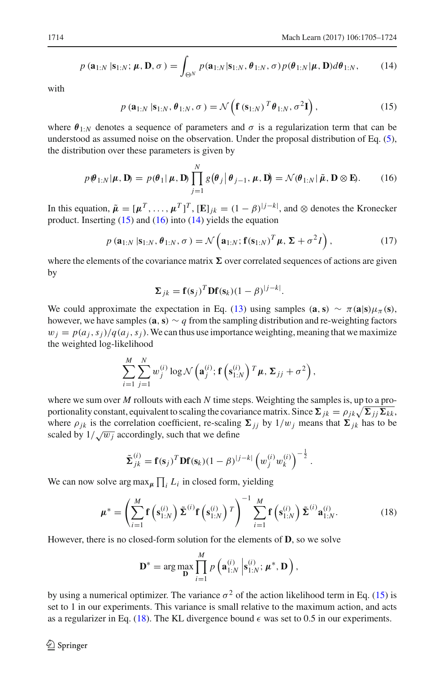<span id="page-9-2"></span>
$$
p\left(\mathbf{a}_{1:N} \,|\mathbf{s}_{1:N};\,\boldsymbol{\mu},\mathbf{D},\sigma\right) = \int_{\Theta^N} p(\mathbf{a}_{1:N}|\mathbf{s}_{1:N},\boldsymbol{\theta}_{1:N},\sigma) p(\boldsymbol{\theta}_{1:N}|\boldsymbol{\mu},\mathbf{D}) d\boldsymbol{\theta}_{1:N},\tag{14}
$$

with

<span id="page-9-0"></span>
$$
p\left(\mathbf{a}_{1:N} \mid \mathbf{s}_{1:N}, \boldsymbol{\theta}_{1:N}, \sigma\right) = \mathcal{N}\left(\mathbf{f}\left(\mathbf{s}_{1:N}\right)^T \boldsymbol{\theta}_{1:N}, \sigma^2 \mathbf{I}\right),\tag{15}
$$

where  $\theta_{1:N}$  denotes a sequence of parameters and  $\sigma$  is a regularization term that can be understood as assumed noise on the observation. Under the proposal distribution of Eq. [\(5\)](#page-6-3), the distribution over these parameters is given by

<span id="page-9-1"></span>
$$
p(\boldsymbol{\theta}_{1:N}|\boldsymbol{\mu},\mathbf{D}) = p(\boldsymbol{\theta}_1|\boldsymbol{\mu},\mathbf{D}) \prod_{j=1}^N g(\boldsymbol{\theta}_j|\boldsymbol{\theta}_{j-1},\boldsymbol{\mu},\mathbf{D}) = \mathcal{N}(\boldsymbol{\theta}_{1:N}|\tilde{\boldsymbol{\mu}},\mathbf{D}\otimes\mathbf{E}).
$$
 (16)

In this equation,  $\tilde{\mu} = [\mu^T, \dots, \mu^T]^T$ ,  $[\mathbf{E}]_{jk} = (1 - \beta)^{|j - k|}$ , and  $\otimes$  denotes the Kronecker product. Inserting  $(15)$  and  $(16)$  into  $(14)$  yields the equation

$$
p\left(\mathbf{a}_{1:N} \,|\mathbf{s}_{1:N},\boldsymbol{\theta}_{1:N},\sigma\right) = \mathcal{N}\left(\mathbf{a}_{1:N};\mathbf{f}(\mathbf{s}_{1:N})^T\boldsymbol{\mu},\boldsymbol{\Sigma}+\sigma^2\boldsymbol{I}\right),\tag{17}
$$

where the elements of the covariance matrix  $\Sigma$  over correlated sequences of actions are given by

$$
\mathbf{\Sigma}_{jk} = \mathbf{f}(\mathbf{s}_j)^T \mathbf{D} \mathbf{f}(\mathbf{s}_k) (1 - \beta)^{|j - k|}.
$$

We could approximate the expectation in Eq. [\(13\)](#page-8-7) using samples  $(\mathbf{a}, \mathbf{s}) \sim \pi(\mathbf{a}|\mathbf{s})\mu_{\pi}(\mathbf{s}),$ however, we have samples ( $\mathbf{a}, \mathbf{s}$ )  $\sim q$  from the sampling distribution and re-weighting factors  $w_j = p(a_j, s_j)/q(a_j, s_j)$ . We can thus use importance weighting, meaning that we maximize the weighted log-likelihood

$$
\sum_{i=1}^M \sum_{j=1}^N w_j^{(i)} \log \mathcal{N}\left(\mathbf{a}_j^{(i)}; \mathbf{f}\left(\mathbf{s}_{1:N}^{(i)}\right)^T \boldsymbol{\mu}, \boldsymbol{\Sigma}_{jj} + \sigma^2\right),
$$

where we sum over *M* rollouts with each *N* time steps. Weighting the samples is, up to a proportionality constant, equivalent to scaling the covariance matrix. Since  $\Sigma_{jk} = \rho_{jk} \sqrt{\Sigma_{jj} \Sigma_{kk}}$ , where  $\rho_{jk}$  is the correlation coefficient, re-scaling  $\Sigma_{jj}$  by  $1/w_j$  means that  $\Sigma_{jk}$  has to be scaled by  $1/\sqrt{w_j}$  accordingly, such that we define

$$
\tilde{\Sigma}_{jk}^{(i)} = \mathbf{f}(\mathbf{s}_j)^T \mathbf{D} \mathbf{f}(\mathbf{s}_k) (1 - \beta)^{|j - k|} \left( w_j^{(i)} w_k^{(i)} \right)^{-\frac{1}{2}}.
$$

We can now solve arg  $\max_{\mu} \prod_i L_i$  in closed form, yielding

<span id="page-9-3"></span>
$$
\mu^* = \left(\sum_{i=1}^M \mathbf{f}\left(\mathbf{s}_{1:N}^{(i)}\right) \tilde{\boldsymbol{\Sigma}}^{(i)} \mathbf{f}\left(\mathbf{s}_{1:N}^{(i)}\right)^T\right)^{-1} \sum_{i=1}^M \mathbf{f}\left(\mathbf{s}_{1:N}^{(i)}\right) \tilde{\boldsymbol{\Sigma}}^{(i)} \mathbf{a}_{1:N}^{(i)}.
$$
 (18)

However, there is no closed-form solution for the elements of **D**, so we solve

$$
\mathbf{D}^* = \arg \max_{\mathbf{D}} \prod_{i=1}^M p\left(\mathbf{a}_{1:N}^{(i)}\left|\mathbf{s}_{1:N}^{(i)};\boldsymbol{\mu}^*,\mathbf{D}\right.\right),\,
$$

by using a numerical optimizer. The variance  $\sigma^2$  of the action likelihood term in Eq. [\(15\)](#page-9-0) is set to 1 in our experiments. This variance is small relative to the maximum action, and acts as a regularizer in Eq. [\(18\)](#page-9-3). The KL divergence bound  $\epsilon$  was set to 0.5 in our experiments.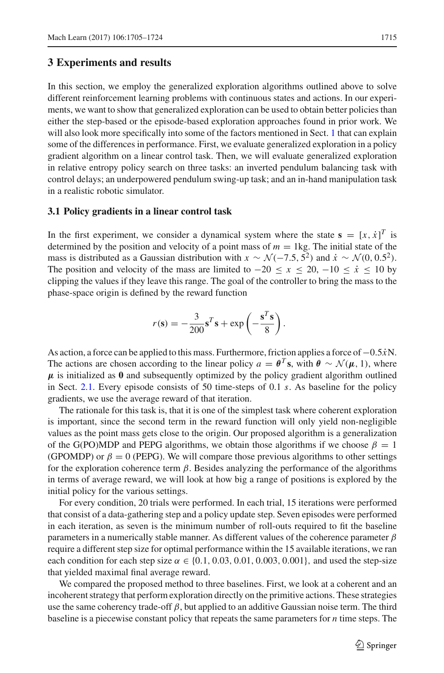In this section, we employ the generalized exploration algorithms outlined above to solve different reinforcement learning problems with continuous states and actions. In our experiments, we want to show that generalized exploration can be used to obtain better policies than either the step-based or the episode-based exploration approaches found in prior work. We will also look more specifically into some of the factors mentioned in Sect. [1](#page-0-0) that can explain some of the differences in performance. First, we evaluate generalized exploration in a policy gradient algorithm on a linear control task. Then, we will evaluate generalized exploration in relative entropy policy search on three tasks: an inverted pendulum balancing task with control delays; an underpowered pendulum swing-up task; and an in-hand manipulation task in a realistic robotic simulator.

#### <span id="page-10-0"></span>**3.1 Policy gradients in a linear control task**

In the first experiment, we consider a dynamical system where the state  $\mathbf{s} = [x, \dot{x}]^T$  is determined by the position and velocity of a point mass of  $m = 1$ kg. The initial state of the mass is distributed as a Gaussian distribution with  $x \sim \mathcal{N}(-7.5, 5^2)$  and  $\dot{x} \sim \mathcal{N}(0, 0.5^2)$ . The position and velocity of the mass are limited to  $-20 \le x \le 20$ ,  $-10 \le \dot{x} \le 10$  by clipping the values if they leave this range. The goal of the controller to bring the mass to the phase-space origin is defined by the reward function

$$
r(\mathbf{s}) = -\frac{3}{200}\mathbf{s}^T \mathbf{s} + \exp\left(-\frac{\mathbf{s}^T \mathbf{s}}{8}\right).
$$

As action, a force can be applied to this mass. Furthermore, friction applies a force of −0.5*x*˙N. The actions are chosen according to the linear policy  $a = \theta^T s$ , with  $\theta \sim \mathcal{N}(\mu, 1)$ , where  $\mu$  is initialized as  $\theta$  and subsequently optimized by the policy gradient algorithm outlined in Sect. [2.1.](#page-6-4) Every episode consists of 50 time-steps of 0.1 *s*. As baseline for the policy gradients, we use the average reward of that iteration.

The rationale for this task is, that it is one of the simplest task where coherent exploration is important, since the second term in the reward function will only yield non-negligible values as the point mass gets close to the origin. Our proposed algorithm is a generalization of the G(PO)MDP and PEPG algorithms, we obtain those algorithms if we choose  $\beta = 1$ (GPOMDP) or  $\beta = 0$  (PEPG). We will compare those previous algorithms to other settings for the exploration coherence term  $\beta$ . Besides analyzing the performance of the algorithms in terms of average reward, we will look at how big a range of positions is explored by the initial policy for the various settings.

For every condition, 20 trials were performed. In each trial, 15 iterations were performed that consist of a data-gathering step and a policy update step. Seven episodes were performed in each iteration, as seven is the minimum number of roll-outs required to fit the baseline parameters in a numerically stable manner. As different values of the coherence parameter  $\beta$ require a different step size for optimal performance within the 15 available iterations, we ran each condition for each step size  $\alpha \in \{0.1, 0.03, 0.01, 0.003, 0.001\}$ , and used the step-size that yielded maximal final average reward.

We compared the proposed method to three baselines. First, we look at a coherent and an incoherent strategy that perform exploration directly on the primitive actions. These strategies use the same coherency trade-off  $\beta$ , but applied to an additive Gaussian noise term. The third baseline is a piecewise constant policy that repeats the same parameters for *n* time steps. The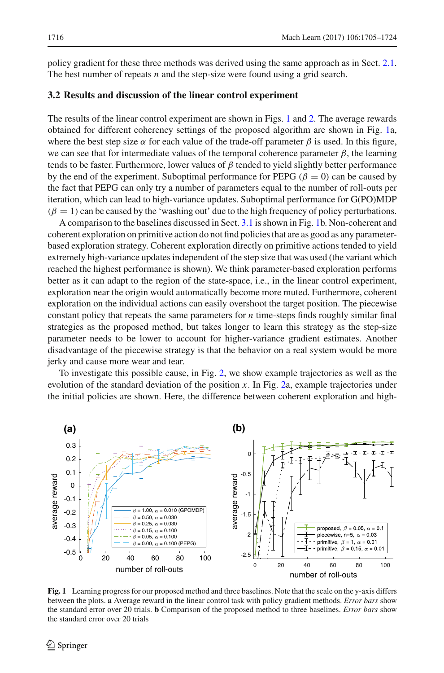policy gradient for these three methods was derived using the same approach as in Sect. [2.1.](#page-6-4) The best number of repeats *n* and the step-size were found using a grid search.

#### **3.2 Results and discussion of the linear control experiment**

The results of the linear control experiment are shown in Figs. [1](#page-11-0) and [2.](#page-12-0) The average rewards obtained for different coherency settings of the proposed algorithm are shown in Fig. [1a](#page-11-0), where the best step size  $\alpha$  for each value of the trade-off parameter  $\beta$  is used. In this figure, we can see that for intermediate values of the temporal coherence parameter  $\beta$ , the learning tends to be faster. Furthermore, lower values of  $\beta$  tended to yield slightly better performance by the end of the experiment. Suboptimal performance for PEPG ( $\beta = 0$ ) can be caused by the fact that PEPG can only try a number of parameters equal to the number of roll-outs per iteration, which can lead to high-variance updates. Suboptimal performance for G(PO)MDP  $(\beta = 1)$  can be caused by the 'washing out' due to the high frequency of policy perturbations.

A comparison to the baselines discussed in Sect. [3.1](#page-10-0) is shown in Fig. [1b](#page-11-0). Non-coherent and coherent exploration on primitive action do not find policies that are as good as any parameterbased exploration strategy. Coherent exploration directly on primitive actions tended to yield extremely high-variance updates independent of the step size that was used (the variant which reached the highest performance is shown). We think parameter-based exploration performs better as it can adapt to the region of the state-space, i.e., in the linear control experiment, exploration near the origin would automatically become more muted. Furthermore, coherent exploration on the individual actions can easily overshoot the target position. The piecewise constant policy that repeats the same parameters for *n* time-steps finds roughly similar final strategies as the proposed method, but takes longer to learn this strategy as the step-size parameter needs to be lower to account for higher-variance gradient estimates. Another disadvantage of the piecewise strategy is that the behavior on a real system would be more jerky and cause more wear and tear.

To investigate this possible cause, in Fig. [2,](#page-12-0) we show example trajectories as well as the evolution of the standard deviation of the position *x*. In Fig. [2a](#page-12-0), example trajectories under the initial policies are shown. Here, the difference between coherent exploration and high-



<span id="page-11-0"></span>**Fig. 1** Learning progress for our proposed method and three baselines. Note that the scale on the y-axis differs between the plots. **a** Average reward in the linear control task with policy gradient methods. *Error bars* show the standard error over 20 trials. **b** Comparison of the proposed method to three baselines. *Error bars* show the standard error over 20 trials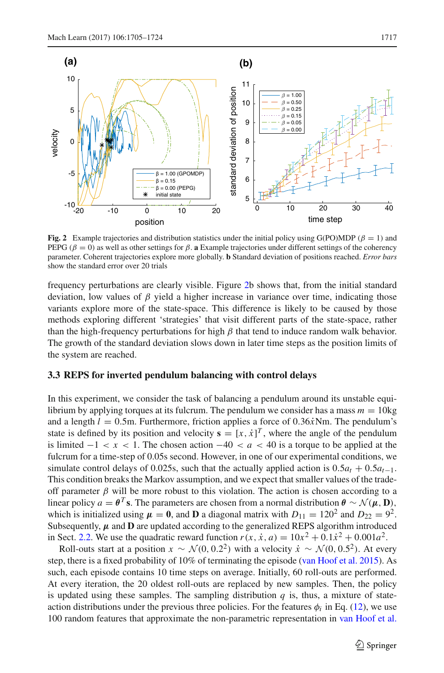

<span id="page-12-0"></span>**Fig. 2** Example trajectories and distribution statistics under the initial policy using G(PO)MDP ( $\beta = 1$ ) and PEPG ( $β = 0$ ) as well as other settings for  $β$ . **a** Example trajectories under different settings of the coherency parameter. Coherent trajectories explore more globally. **b** Standard deviation of positions reached. *Error bars* show the standard error over 20 trials

frequency perturbations are clearly visible. Figure [2b](#page-12-0) shows that, from the initial standard deviation, low values of  $\beta$  yield a higher increase in variance over time, indicating those variants explore more of the state-space. This difference is likely to be caused by those methods exploring different 'strategies' that visit different parts of the state-space, rather than the high-frequency perturbations for high  $\beta$  that tend to induce random walk behavior. The growth of the standard deviation slows down in later time steps as the position limits of the system are reached.

#### <span id="page-12-1"></span>**3.3 REPS for inverted pendulum balancing with control delays**

In this experiment, we consider the task of balancing a pendulum around its unstable equilibrium by applying torques at its fulcrum. The pendulum we consider has a mass  $m = 10$ kg and a length  $l = 0.5$ m. Furthermore, friction applies a force of  $0.36\dot{x}$ Nm. The pendulum's state is defined by its position and velocity  $\mathbf{s} = [x, \dot{x}]^T$ , where the angle of the pendulum is limited  $-1 < x < 1$ . The chosen action  $-40 < a < 40$  is a torque to be applied at the fulcrum for a time-step of 0.05s second. However, in one of our experimental conditions, we simulate control delays of 0.025s, such that the actually applied action is  $0.5a_t + 0.5a_{t-1}$ . This condition breaks the Markov assumption, and we expect that smaller values of the tradeoff parameter  $\beta$  will be more robust to this violation. The action is chosen according to a linear policy  $a = \theta^T s$ . The parameters are chosen from a normal distribution  $\theta \sim \mathcal{N}(\mu, \mathbf{D})$ , which is initialized using  $\mu = 0$ , and **D** a diagonal matrix with  $D_{11} = 120^2$  and  $D_{22} = 9^2$ . Subsequently,  $\mu$  and  $D$  are updated according to the generalized REPS algorithm introduced in Sect. [2.2.](#page-7-1) We use the quadratic reward function  $r(x, \dot{x}, a) = 10x^2 + 0.1\dot{x}^2 + 0.001a^2$ .

Roll-outs start at a position  $x \sim \mathcal{N}(0, 0.2^2)$  with a velocity  $\dot{x} \sim \mathcal{N}(0, 0.5^2)$ . At every step, there is a fixed probability of 10% of terminating the episode [\(van Hoof et al. 2015\)](#page-19-21). As such, each episode contains 10 time steps on average. Initially, 60 roll-outs are performed. At every iteration, the 20 oldest roll-outs are replaced by new samples. Then, the policy is updated using these samples. The sampling distribution  $q$  is, thus, a mixture of stateaction distributions under the previous three policies. For the features  $\phi_i$  in Eq. [\(12\)](#page-8-8), we use 100 random features that approximate the non-parametric representation in [van Hoof et al.](#page-19-21)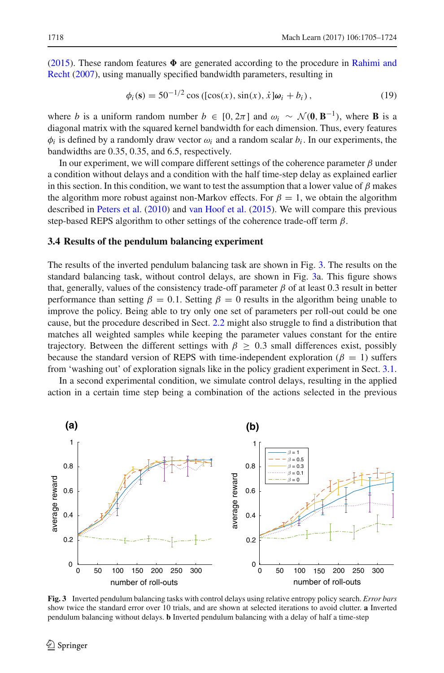[\(2015](#page-19-21)). These random features  $\Phi$  [are](#page-19-22) [generated](#page-19-22) [according](#page-19-22) [to](#page-19-22) [the](#page-19-22) [procedure](#page-19-22) [in](#page-19-22) Rahimi and Recht [\(2007\)](#page-19-22), using manually specified bandwidth parameters, resulting in

$$
\phi_i(s) = 50^{-1/2} \cos ([\cos(x), \sin(x), \dot{x}]\omega_i + b_i), \qquad (19)
$$

where *b* is a uniform random number  $b \in [0, 2\pi]$  and  $\omega_i \sim \mathcal{N}(\mathbf{0}, \mathbf{B}^{-1})$ , where **B** is a diagonal matrix with the squared kernel bandwidth for each dimension. Thus, every features  $\phi_i$  is defined by a randomly draw vector  $\omega_i$  and a random scalar  $b_i$ . In our experiments, the bandwidths are 0.35, 0.35, and 6.5, respectively.

In our experiment, we will compare different settings of the coherence parameter  $\beta$  under a condition without delays and a condition with the half time-step delay as explained earlier in this section. In this condition, we want to test the assumption that a lower value of  $\beta$  makes the algorithm more robust against non-Markov effects. For  $\beta = 1$ , we obtain the algorithm described in [Peters et al.](#page-19-19) [\(2010](#page-19-19)) and [van Hoof et al.](#page-19-21) [\(2015\)](#page-19-21). We will compare this previous step-based REPS algorithm to other settings of the coherence trade-off term  $\beta$ .

#### **3.4 Results of the pendulum balancing experiment**

The results of the inverted pendulum balancing task are shown in Fig. [3.](#page-13-0) The results on the standard balancing task, without control delays, are shown in Fig. [3a](#page-13-0). This figure shows that, generally, values of the consistency trade-off parameter  $\beta$  of at least 0.3 result in better performance than setting  $\beta = 0.1$ . Setting  $\beta = 0$  results in the algorithm being unable to improve the policy. Being able to try only one set of parameters per roll-out could be one cause, but the procedure described in Sect. [2.2](#page-7-1) might also struggle to find a distribution that matches all weighted samples while keeping the parameter values constant for the entire trajectory. Between the different settings with  $\beta \geq 0.3$  small differences exist, possibly because the standard version of REPS with time-independent exploration ( $\beta = 1$ ) suffers from 'washing out' of exploration signals like in the policy gradient experiment in Sect. [3.1.](#page-10-0)

In a second experimental condition, we simulate control delays, resulting in the applied action in a certain time step being a combination of the actions selected in the previous



<span id="page-13-0"></span>**Fig. 3** Inverted pendulum balancing tasks with control delays using relative entropy policy search. *Error bars* show twice the standard error over 10 trials, and are shown at selected iterations to avoid clutter. **a** Inverted pendulum balancing without delays. **b** Inverted pendulum balancing with a delay of half a time-step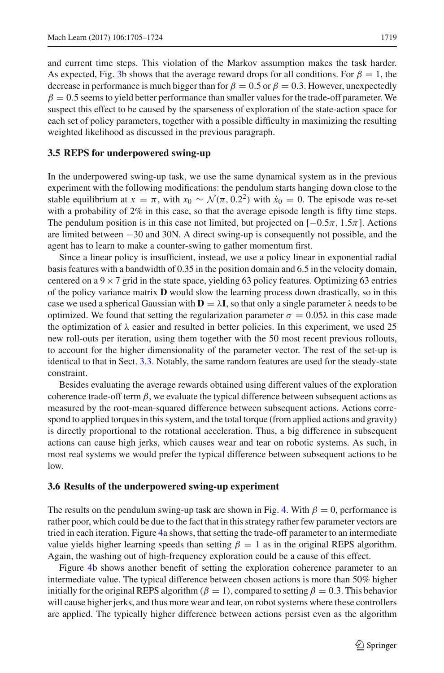and current time steps. This violation of the Markov assumption makes the task harder. As expected, Fig. [3b](#page-13-0) shows that the average reward drops for all conditions. For  $\beta = 1$ , the decrease in performance is much bigger than for  $\beta = 0.5$  or  $\beta = 0.3$ . However, unexpectedly  $\beta = 0.5$  seems to yield better performance than smaller values for the trade-off parameter. We suspect this effect to be caused by the sparseness of exploration of the state-action space for each set of policy parameters, together with a possible difficulty in maximizing the resulting weighted likelihood as discussed in the previous paragraph.

#### <span id="page-14-0"></span>**3.5 REPS for underpowered swing-up**

In the underpowered swing-up task, we use the same dynamical system as in the previous experiment with the following modifications: the pendulum starts hanging down close to the stable equilibrium at  $x = \pi$ , with  $x_0 \sim \mathcal{N}(\pi, 0.2^2)$  with  $\dot{x}_0 = 0$ . The episode was re-set with a probability of  $2\%$  in this case, so that the average episode length is fifty time steps. The pendulum position is in this case not limited, but projected on  $[-0.5\pi, 1.5\pi]$ . Actions are limited between −30 and 30N. A direct swing-up is consequently not possible, and the agent has to learn to make a counter-swing to gather momentum first.

Since a linear policy is insufficient, instead, we use a policy linear in exponential radial basis features with a bandwidth of 0.35 in the position domain and 6.5 in the velocity domain, centered on a  $9 \times 7$  grid in the state space, yielding 63 policy features. Optimizing 63 entries of the policy variance matrix **D** would slow the learning process down drastically, so in this case we used a spherical Gaussian with  $D = \lambda I$ , so that only a single parameter  $\lambda$  needs to be optimized. We found that setting the regularization parameter  $σ = 0.05λ$  in this case made the optimization of  $\lambda$  easier and resulted in better policies. In this experiment, we used 25 new roll-outs per iteration, using them together with the 50 most recent previous rollouts, to account for the higher dimensionality of the parameter vector. The rest of the set-up is identical to that in Sect. [3.3.](#page-12-1) Notably, the same random features are used for the steady-state constraint.

Besides evaluating the average rewards obtained using different values of the exploration coherence trade-off term  $\beta$ , we evaluate the typical difference between subsequent actions as measured by the root-mean-squared difference between subsequent actions. Actions correspond to applied torques in this system, and the total torque (from applied actions and gravity) is directly proportional to the rotational acceleration. Thus, a big difference in subsequent actions can cause high jerks, which causes wear and tear on robotic systems. As such, in most real systems we would prefer the typical difference between subsequent actions to be low.

#### **3.6 Results of the underpowered swing-up experiment**

The results on the pendulum swing-up task are shown in Fig. [4.](#page-15-0) With  $\beta = 0$ , performance is rather poor, which could be due to the fact that in this strategy rather few parameter vectors are tried in each iteration. Figure [4a](#page-15-0) shows, that setting the trade-off parameter to an intermediate value yields higher learning speeds than setting  $\beta = 1$  as in the original REPS algorithm. Again, the washing out of high-frequency exploration could be a cause of this effect.

Figure [4b](#page-15-0) shows another benefit of setting the exploration coherence parameter to an intermediate value. The typical difference between chosen actions is more than 50% higher initially for the original REPS algorithm ( $\beta = 1$ ), compared to setting  $\beta = 0.3$ . This behavior will cause higher jerks, and thus more wear and tear, on robot systems where these controllers are applied. The typically higher difference between actions persist even as the algorithm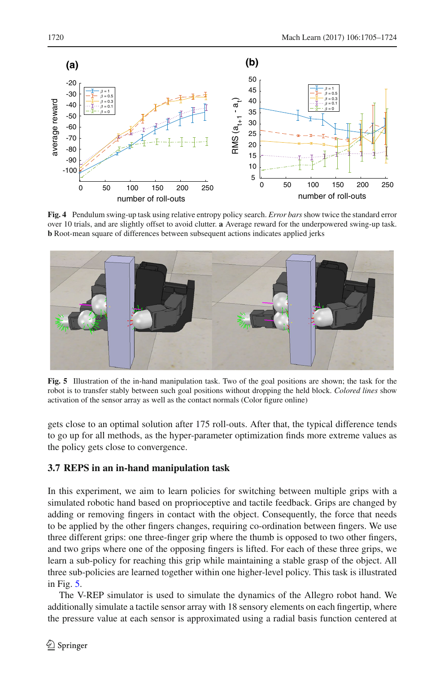

<span id="page-15-0"></span>**Fig. 4** Pendulum swing-up task using relative entropy policy search. *Error bars* show twice the standard error over 10 trials, and are slightly offset to avoid clutter. **a** Average reward for the underpowered swing-up task. **b** Root-mean square of differences between subsequent actions indicates applied jerks



<span id="page-15-1"></span>**Fig. 5** Illustration of the in-hand manipulation task. Two of the goal positions are shown; the task for the robot is to transfer stably between such goal positions without dropping the held block. *Colored lines* show activation of the sensor array as well as the contact normals (Color figure online)

gets close to an optimal solution after 175 roll-outs. After that, the typical difference tends to go up for all methods, as the hyper-parameter optimization finds more extreme values as the policy gets close to convergence.

## **3.7 REPS in an in-hand manipulation task**

In this experiment, we aim to learn policies for switching between multiple grips with a simulated robotic hand based on proprioceptive and tactile feedback. Grips are changed by adding or removing fingers in contact with the object. Consequently, the force that needs to be applied by the other fingers changes, requiring co-ordination between fingers. We use three different grips: one three-finger grip where the thumb is opposed to two other fingers, and two grips where one of the opposing fingers is lifted. For each of these three grips, we learn a sub-policy for reaching this grip while maintaining a stable grasp of the object. All three sub-policies are learned together within one higher-level policy. This task is illustrated in Fig. [5.](#page-15-1)

The V-REP simulator is used to simulate the dynamics of the Allegro robot hand. We additionally simulate a tactile sensor array with 18 sensory elements on each fingertip, where the pressure value at each sensor is approximated using a radial basis function centered at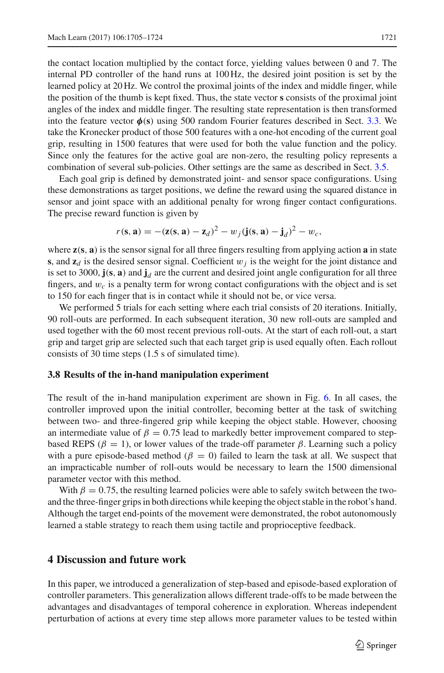the contact location multiplied by the contact force, yielding values between 0 and 7. The internal PD controller of the hand runs at 100 Hz, the desired joint position is set by the learned policy at 20 Hz. We control the proximal joints of the index and middle finger, while the position of the thumb is kept fixed. Thus, the state vector **s** consists of the proximal joint angles of the index and middle finger. The resulting state representation is then transformed into the feature vector  $\phi(s)$  using 500 random Fourier features described in Sect. [3.3.](#page-12-1) We take the Kronecker product of those 500 features with a one-hot encoding of the current goal grip, resulting in 1500 features that were used for both the value function and the policy. Since only the features for the active goal are non-zero, the resulting policy represents a combination of several sub-policies. Other settings are the same as described in Sect. [3.5.](#page-14-0)

Each goal grip is defined by demonstrated joint- and sensor space configurations. Using these demonstrations as target positions, we define the reward using the squared distance in sensor and joint space with an additional penalty for wrong finger contact configurations. The precise reward function is given by

$$
r(\mathbf{s}, \mathbf{a}) = -(\mathbf{z}(\mathbf{s}, \mathbf{a}) - \mathbf{z}_d)^2 - w_j (\mathbf{j}(\mathbf{s}, \mathbf{a}) - \mathbf{j}_d)^2 - w_c,
$$

where **z**(**s**, **a**) is the sensor signal for all three fingers resulting from applying action **a** in state **s**, and  $z_d$  is the desired sensor signal. Coefficient  $w_j$  is the weight for the joint distance and is set to 3000,  $\mathbf{j}(\mathbf{s}, \mathbf{a})$  and  $\mathbf{j}_d$  are the current and desired joint angle configuration for all three fingers, and w*c* is a penalty term for wrong contact configurations with the object and is set to 150 for each finger that is in contact while it should not be, or vice versa.

We performed 5 trials for each setting where each trial consists of 20 iterations. Initially, 90 roll-outs are performed. In each subsequent iteration, 30 new roll-outs are sampled and used together with the 60 most recent previous roll-outs. At the start of each roll-out, a start grip and target grip are selected such that each target grip is used equally often. Each rollout consists of 30 time steps (1.5 s of simulated time).

#### **3.8 Results of the in-hand manipulation experiment**

The result of the in-hand manipulation experiment are shown in Fig. [6.](#page-17-0) In all cases, the controller improved upon the initial controller, becoming better at the task of switching between two- and three-fingered grip while keeping the object stable. However, choosing an intermediate value of  $\beta = 0.75$  lead to markedly better improvement compared to stepbased REPS ( $\beta = 1$ ), or lower values of the trade-off parameter  $\beta$ . Learning such a policy with a pure episode-based method ( $\beta = 0$ ) failed to learn the task at all. We suspect that an impracticable number of roll-outs would be necessary to learn the 1500 dimensional parameter vector with this method.

With  $\beta = 0.75$ , the resulting learned policies were able to safely switch between the twoand the three-finger grips in both directions while keeping the object stable in the robot's hand. Although the target end-points of the movement were demonstrated, the robot autonomously learned a stable strategy to reach them using tactile and proprioceptive feedback.

# **4 Discussion and future work**

In this paper, we introduced a generalization of step-based and episode-based exploration of controller parameters. This generalization allows different trade-offs to be made between the advantages and disadvantages of temporal coherence in exploration. Whereas independent perturbation of actions at every time step allows more parameter values to be tested within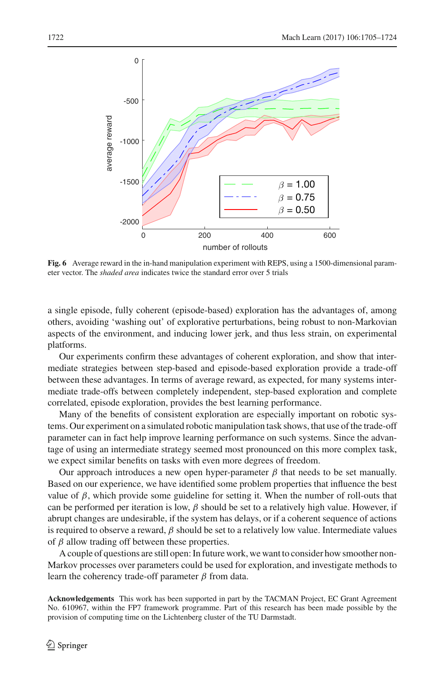

<span id="page-17-0"></span>**Fig. 6** Average reward in the in-hand manipulation experiment with REPS, using a 1500-dimensional parameter vector. The *shaded area* indicates twice the standard error over 5 trials

a single episode, fully coherent (episode-based) exploration has the advantages of, among others, avoiding 'washing out' of explorative perturbations, being robust to non-Markovian aspects of the environment, and inducing lower jerk, and thus less strain, on experimental platforms.

Our experiments confirm these advantages of coherent exploration, and show that intermediate strategies between step-based and episode-based exploration provide a trade-off between these advantages. In terms of average reward, as expected, for many systems intermediate trade-offs between completely independent, step-based exploration and complete correlated, episode exploration, provides the best learning performance.

Many of the benefits of consistent exploration are especially important on robotic systems. Our experiment on a simulated robotic manipulation task shows, that use of the trade-off parameter can in fact help improve learning performance on such systems. Since the advantage of using an intermediate strategy seemed most pronounced on this more complex task, we expect similar benefits on tasks with even more degrees of freedom.

Our approach introduces a new open hyper-parameter  $\beta$  that needs to be set manually. Based on our experience, we have identified some problem properties that influence the best value of β, which provide some guideline for setting it. When the number of roll-outs that can be performed per iteration is low,  $\beta$  should be set to a relatively high value. However, if abrupt changes are undesirable, if the system has delays, or if a coherent sequence of actions is required to observe a reward,  $\beta$  should be set to a relatively low value. Intermediate values of  $\beta$  allow trading off between these properties.

A couple of questions are still open: In future work, we want to consider how smoother non-Markov processes over parameters could be used for exploration, and investigate methods to learn the coherency trade-off parameter  $β$  from data.

**Acknowledgements** This work has been supported in part by the TACMAN Project, EC Grant Agreement No. 610967, within the FP7 framework programme. Part of this research has been made possible by the provision of computing time on the Lichtenberg cluster of the TU Darmstadt.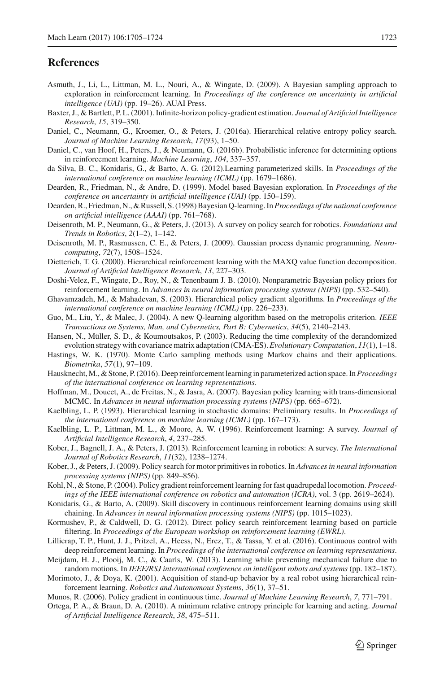## **References**

- <span id="page-18-4"></span>Asmuth, J., Li, L., Littman, M. L., Nouri, A., & Wingate, D. (2009). A Bayesian sampling approach to exploration in reinforcement learning. In *Proceedings of the conference on uncertainty in artificial intelligence (UAI)* (pp. 19–26). AUAI Press.
- <span id="page-18-28"></span>Baxter, J., & Bartlett, P. L. (2001). Infinite-horizon policy-gradient estimation. *Journal of Artificial Intelligence Research*, *15*, 319–350.
- <span id="page-18-16"></span>Daniel, C., Neumann, G., Kroemer, O., & Peters, J. (2016a). Hierarchical relative entropy policy search. *Journal of Machine Learning Research*, *17*(93), 1–50.
- <span id="page-18-13"></span>Daniel, C., van Hoof, H., Peters, J., & Neumann, G. (2016b). Probabilistic inference for determining options in reinforcement learning. *Machine Learning*, *104*, 337–357.
- <span id="page-18-15"></span>da Silva, B. C., Konidaris, G., & Barto, A. G. (2012).Learning parameterized skills. In *Proceedings of the international conference on machine learning (ICML)* (pp. 1679–1686).
- <span id="page-18-18"></span>Dearden, R., Friedman, N., & Andre, D. (1999). Model based Bayesian exploration. In *Proceedings of the conference on uncertainty in artificial intelligence (UAI)* (pp. 150–159).
- <span id="page-18-20"></span>Dearden, R., Friedman, N., & Russell, S. (1998) Bayesian Q-learning. In*Proceedings of the national conference on artificial intelligence (AAAI)* (pp. 761–768).
- <span id="page-18-1"></span>Deisenroth, M. P., Neumann, G., & Peters, J. (2013). A survey on policy search for robotics. *Foundations and Trends in Robotics*, *2*(1–2), 1–142.
- <span id="page-18-3"></span>Deisenroth, M. P., Rasmussen, C. E., & Peters, J. (2009). Gaussian process dynamic programming. *Neurocomputing*, *72*(7), 1508–1524.
- <span id="page-18-9"></span>Dietterich, T. G. (2000). Hierarchical reinforcement learning with the MAXQ value function decomposition. *Journal of Artificial Intelligence Research*, *13*, 227–303.
- <span id="page-18-19"></span>Doshi-Velez, F., Wingate, D., Roy, N., & Tenenbaum J. B. (2010). Nonparametric Bayesian policy priors for reinforcement learning. In *Advances in neural information processing systems (NIPS)* (pp. 532–540).
- <span id="page-18-11"></span>Ghavamzadeh, M., & Mahadevan, S. (2003). Hierarchical policy gradient algorithms. In *Proceedings of the international conference on machine learning (ICML)* (pp. 226–233).
- <span id="page-18-23"></span>Guo, M., Liu, Y., & Malec, J. (2004). A new Q-learning algorithm based on the metropolis criterion. *IEEE Transactions on Systems, Man, and Cybernetics, Part B: Cybernetics*, *34*(5), 2140–2143.
- <span id="page-18-27"></span>Hansen, N., Müller, S. D., & Koumoutsakos, P. (2003). Reducing the time complexity of the derandomized evolution strategy with covariance matrix adaptation (CMA-ES).*Evolutionary Computation*, *11*(1), 1–18.
- <span id="page-18-26"></span>Hastings, W. K. (1970). Monte Carlo sampling methods using Markov chains and their applications. *Biometrika*, *57*(1), 97–109.
- <span id="page-18-25"></span>Hausknecht,M., & Stone, P. (2016). Deep reinforcement learning in parameterized action space. In*Proceedings of the international conference on learning representations*.
- <span id="page-18-21"></span>Hoffman, M., Doucet, A., de Freitas, N., & Jasra, A. (2007). Bayesian policy learning with trans-dimensional MCMC. In *Advances in neural information processing systems (NIPS)* (pp. 665–672).
- <span id="page-18-8"></span>Kaelbling, L. P. (1993). Hierarchical learning in stochastic domains: Preliminary results. In *Proceedings of the international conference on machine learning (ICML)* (pp. 167–173).
- <span id="page-18-0"></span>Kaelbling, L. P., Littman, M. L., & Moore, A. W. (1996). Reinforcement learning: A survey. *Journal of Artificial Intelligence Research*, *4*, 237–285.
- <span id="page-18-2"></span>Kober, J., Bagnell, J. A., & Peters, J. (2013). Reinforcement learning in robotics: A survey. *The International Journal of Robotics Research*, *11*(32), 1238–1274.
- <span id="page-18-5"></span>Kober, J., & Peters, J. (2009). Policy search for motor primitives in robotics. In *Advances in neural information processing systems (NIPS)* (pp. 849–856).
- <span id="page-18-14"></span>Kohl, N., & Stone, P. (2004). Policy gradient reinforcement learning for fast quadrupedal locomotion. *Proceedings of the IEEE international conference on robotics and automation (ICRA)*, vol. 3 (pp. 2619–2624).
- <span id="page-18-12"></span>Konidaris, G., & Barto, A. (2009). Skill discovery in continuous reinforcement learning domains using skill chaining. In *Advances in neural information processing systems (NIPS)* (pp. 1015–1023).
- <span id="page-18-22"></span>Kormushev, P., & Caldwell, D. G. (2012). Direct policy search reinforcement learning based on particle filtering. In *Proceedings of the European workshop on reinforcement learning (EWRL)*.
- <span id="page-18-24"></span>Lillicrap, T. P., Hunt, J. J., Pritzel, A., Heess, N., Erez, T., & Tassa, Y. et al. (2016). Continuous control with deep reinforcement learning. In *Proceedings of the international conference on learning representations*.
- <span id="page-18-7"></span>Meijdam, H. J., Plooij, M. C., & Caarls, W. (2013). Learning while preventing mechanical failure due to random motions. In *IEEE/RSJ international conference on intelligent robots and systems* (pp. 182–187).
- <span id="page-18-10"></span>Morimoto, J., & Doya, K. (2001). Acquisition of stand-up behavior by a real robot using hierarchical reinforcement learning. *Robotics and Autonomous Systems*, *36*(1), 37–51.

<span id="page-18-6"></span>Munos, R. (2006). Policy gradient in continuous time. *Journal of Machine Learning Research*, *7*, 771–791.

<span id="page-18-17"></span>Ortega, P. A., & Braun, D. A. (2010). A minimum relative entropy principle for learning and acting. *Journal of Artificial Intelligence Research*, *38*, 475–511.